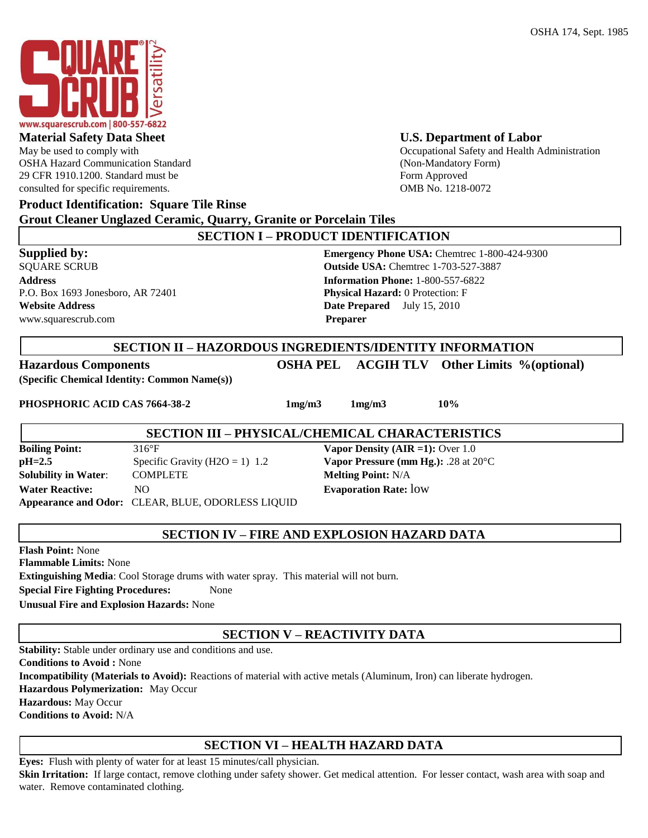

OSHA Hazard Communication Standard (Non-Mandatory Form) 29 CFR 1910.1200. Standard must be Form Approved consulted for specific requirements. OMB No. 1218-0072

## **Material Safety Data Sheet U.S. Department of Labor**

May be used to comply with  $\blacksquare$ 

## **Product Identification: Square Tile Rinse**

**Grout Cleaner Unglazed Ceramic, Quarry, Granite or Porcelain Tiles** 

| <b>SECTION I - PRODUCT IDENTIFICATION</b>                                     |                                                                                                                           |  |  |
|-------------------------------------------------------------------------------|---------------------------------------------------------------------------------------------------------------------------|--|--|
| Supplied by:<br><b>SQUARE SCRUB</b>                                           | <b>Emergency Phone USA:</b> Chemtrec 1-800-424-9300<br><b>Outside USA: Chemtrec 1-703-527-3887</b>                        |  |  |
| <b>Address</b><br>P.O. Box 1693 Jonesboro, AR 72401<br><b>Website Address</b> | <b>Information Phone: 1-800-557-6822</b><br><b>Physical Hazard:</b> 0 Protection: F<br><b>Date Prepared</b> July 15, 2010 |  |  |
| www.squarescrub.com                                                           | <b>Preparer</b>                                                                                                           |  |  |
|                                                                               | <b>SECTION II - HAZORDOUS INGREDIENTS/IDENTITY INFORMATION</b>                                                            |  |  |
| <b>Hazardous Components</b>                                                   | <b>ACGIHTLV</b> Other Limits %(optional)<br>OSHA PEL-                                                                     |  |  |

**(Specific Chemical Identity: Common Name(s))** 

**PHOSPHORIC ACID CAS 7664-38-2 1mg/m3 1mg/m3 10%**

## **SECTION III – PHYSICAL/CHEMICAL CHARACTERISTICS**

**Boiling Point:** 316°F **Vapor Density (AIR =1):** Over 1.0 **pH=2.5** Specific Gravity (H2O = 1) 1.2 **Vapor Pressure (mm Hg.):** .28 at 20°C **Solubility in Water:** COMPLETE **Melting Point:** N/A **Water Reactive:** NO **Evaporation Rate:** low **Appearance and Odor:** CLEAR, BLUE, ODORLESS LIQUID

## **SECTION IV – FIRE AND EXPLOSION HAZARD DATA**

**Flash Point:** None

**Flammable Limits:** None

**Extinguishing Media**: Cool Storage drums with water spray. This material will not burn.

**Special Fire Fighting Procedures:** None

**Unusual Fire and Explosion Hazards:** None

# **SECTION V – REACTIVITY DATA**

**Stability:** Stable under ordinary use and conditions and use.

**Conditions to Avoid :** None

**Incompatibility (Materials to Avoid):** Reactions of material with active metals (Aluminum, Iron) can liberate hydrogen.

**Hazardous Polymerization:** May Occur

**Hazardous:** May Occur

**Conditions to Avoid:** N/A

# **SECTION VI – HEALTH HAZARD DATA**

**Eyes:** Flush with plenty of water for at least 15 minutes/call physician. Skin Irritation: If large contact, remove clothing under safety shower. Get medical attention. For lesser contact, wash area with soap and water. Remove contaminated clothing.